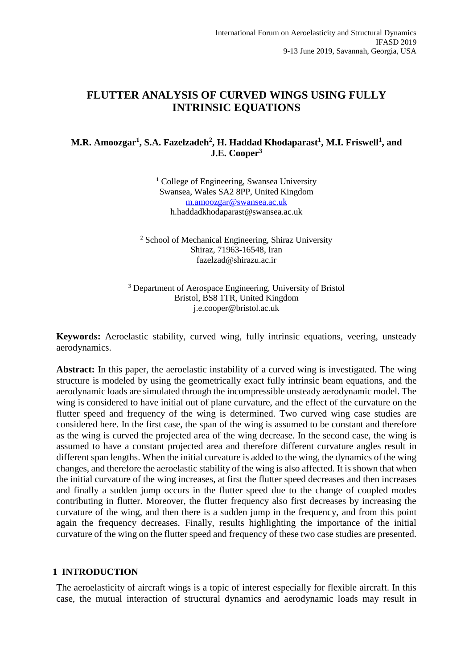# **FLUTTER ANALYSIS OF CURVED WINGS USING FULLY INTRINSIC EQUATIONS**

### **M.R. Amoozgar<sup>1</sup> , S.A. Fazelzadeh<sup>2</sup> , H. Haddad Khodaparast<sup>1</sup> , M.I. Friswell<sup>1</sup> , and J.E. Cooper<sup>3</sup>**

<sup>1</sup> College of Engineering, Swansea University Swansea, Wales SA2 8PP, United Kingdom [m.amoozgar@swansea.ac.uk](mailto:m.amoozgar@swansea.ac.uk) h.haddadkhodaparast@swansea.ac.uk

<sup>2</sup> School of Mechanical Engineering, Shiraz University Shiraz, 71963-16548, Iran fazelzad@shirazu.ac.ir

<sup>3</sup> Department of Aerospace Engineering, University of Bristol Bristol, BS8 1TR, United Kingdom j.e.cooper@bristol.ac.uk

**Keywords:** Aeroelastic stability, curved wing, fully intrinsic equations, veering, unsteady aerodynamics.

**Abstract:** In this paper, the aeroelastic instability of a curved wing is investigated. The wing structure is modeled by using the geometrically exact fully intrinsic beam equations, and the aerodynamic loads are simulated through the incompressible unsteady aerodynamic model. The wing is considered to have initial out of plane curvature, and the effect of the curvature on the flutter speed and frequency of the wing is determined. Two curved wing case studies are considered here. In the first case, the span of the wing is assumed to be constant and therefore as the wing is curved the projected area of the wing decrease. In the second case, the wing is assumed to have a constant projected area and therefore different curvature angles result in different span lengths. When the initial curvature is added to the wing, the dynamics of the wing changes, and therefore the aeroelastic stability of the wing is also affected. It is shown that when the initial curvature of the wing increases, at first the flutter speed decreases and then increases and finally a sudden jump occurs in the flutter speed due to the change of coupled modes contributing in flutter. Moreover, the flutter frequency also first decreases by increasing the curvature of the wing, and then there is a sudden jump in the frequency, and from this point again the frequency decreases. Finally, results highlighting the importance of the initial curvature of the wing on the flutter speed and frequency of these two case studies are presented.

### **1 INTRODUCTION**

The aeroelasticity of aircraft wings is a topic of interest especially for flexible aircraft. In this case, the mutual interaction of structural dynamics and aerodynamic loads may result in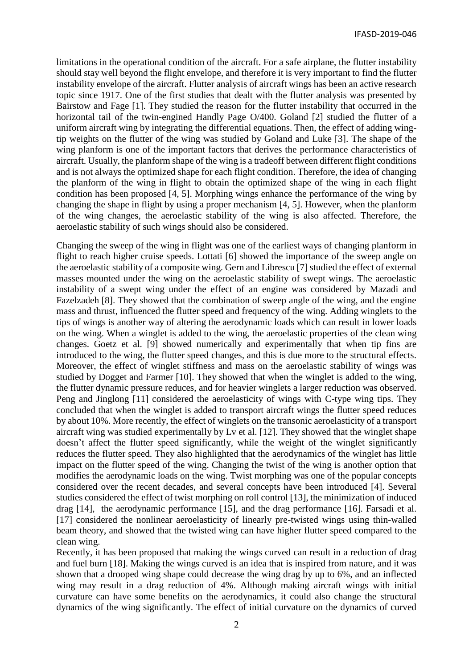limitations in the operational condition of the aircraft. For a safe airplane, the flutter instability should stay well beyond the flight envelope, and therefore it is very important to find the flutter instability envelope of the aircraft. Flutter analysis of aircraft wings has been an active research topic since 1917. One of the first studies that dealt with the flutter analysis was presented by Bairstow and Fage [\[1\]](#page-12-0). They studied the reason for the flutter instability that occurred in the horizontal tail of the twin-engined Handly Page O/400. Goland [\[2\]](#page-12-1) studied the flutter of a uniform aircraft wing by integrating the differential equations. Then, the effect of adding wingtip weights on the flutter of the wing was studied by Goland and Luke [\[3\]](#page-12-2). The shape of the wing planform is one of the important factors that derives the performance characteristics of aircraft. Usually, the planform shape of the wing is a tradeoff between different flight conditions and is not always the optimized shape for each flight condition. Therefore, the idea of changing the planform of the wing in flight to obtain the optimized shape of the wing in each flight condition has been proposed [\[4,](#page-12-3) [5\]](#page-12-4). Morphing wings enhance the performance of the wing by changing the shape in flight by using a proper mechanism [\[4,](#page-12-3) [5\]](#page-12-4). However, when the planform of the wing changes, the aeroelastic stability of the wing is also affected. Therefore, the aeroelastic stability of such wings should also be considered.

Changing the sweep of the wing in flight was one of the earliest ways of changing planform in flight to reach higher cruise speeds. Lottati [\[6\]](#page-12-5) showed the importance of the sweep angle on the aeroelastic stability of a composite wing. Gern and Librescu [\[7\]](#page-12-6) studied the effect of external masses mounted under the wing on the aeroelastic stability of swept wings. The aeroelastic instability of a swept wing under the effect of an engine was considered by Mazadi and Fazelzadeh [\[8\]](#page-12-7). They showed that the combination of sweep angle of the wing, and the engine mass and thrust, influenced the flutter speed and frequency of the wing. Adding winglets to the tips of wings is another way of altering the aerodynamic loads which can result in lower loads on the wing. When a winglet is added to the wing, the aeroelastic properties of the clean wing changes. Goetz et al. [\[9\]](#page-12-8) showed numerically and experimentally that when tip fins are introduced to the wing, the flutter speed changes, and this is due more to the structural effects. Moreover, the effect of winglet stiffness and mass on the aeroelastic stability of wings was studied by Dogget and Farmer [\[10\]](#page-12-9). They showed that when the winglet is added to the wing, the flutter dynamic pressure reduces, and for heavier winglets a larger reduction was observed. Peng and Jinglong [\[11\]](#page-12-10) considered the aeroelasticity of wings with C-type wing tips. They concluded that when the winglet is added to transport aircraft wings the flutter speed reduces by about 10%. More recently, the effect of winglets on the transonic aeroelasticity of a transport aircraft wing was studied experimentally by Lv et al. [\[12\]](#page-12-11). They showed that the winglet shape doesn't affect the flutter speed significantly, while the weight of the winglet significantly reduces the flutter speed. They also highlighted that the aerodynamics of the winglet has little impact on the flutter speed of the wing. Changing the twist of the wing is another option that modifies the aerodynamic loads on the wing. Twist morphing was one of the popular concepts considered over the recent decades, and several concepts have been introduced [\[4\]](#page-12-3). Several studies considered the effect of twist morphing on roll control [\[13\]](#page-12-12), the minimization of induced drag [\[14\]](#page-12-13), the aerodynamic performance [\[15\]](#page-12-14), and the drag performance [\[16\]](#page-13-0). Farsadi et al. [\[17\]](#page-13-1) considered the nonlinear aeroelasticity of linearly pre-twisted wings using thin-walled beam theory, and showed that the twisted wing can have higher flutter speed compared to the clean wing.

Recently, it has been proposed that making the wings curved can result in a reduction of drag and fuel burn [\[18\]](#page-13-2). Making the wings curved is an idea that is inspired from nature, and it was shown that a drooped wing shape could decrease the wing drag by up to 6%, and an inflected wing may result in a drag reduction of 4%. Although making aircraft wings with initial curvature can have some benefits on the aerodynamics, it could also change the structural dynamics of the wing significantly. The effect of initial curvature on the dynamics of curved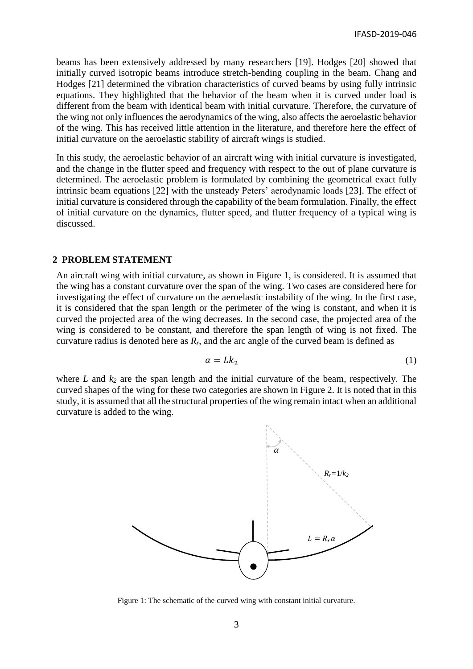beams has been extensively addressed by many researchers [\[19\]](#page-13-3). Hodges [\[20\]](#page-13-4) showed that initially curved isotropic beams introduce stretch-bending coupling in the beam. Chang and Hodges [\[21\]](#page-13-5) determined the vibration characteristics of curved beams by using fully intrinsic equations. They highlighted that the behavior of the beam when it is curved under load is different from the beam with identical beam with initial curvature. Therefore, the curvature of the wing not only influences the aerodynamics of the wing, also affects the aeroelastic behavior of the wing. This has received little attention in the literature, and therefore here the effect of initial curvature on the aeroelastic stability of aircraft wings is studied.

In this study, the aeroelastic behavior of an aircraft wing with initial curvature is investigated, and the change in the flutter speed and frequency with respect to the out of plane curvature is determined. The aeroelastic problem is formulated by combining the geometrical exact fully intrinsic beam equations [\[22\]](#page-13-6) with the unsteady Peters' aerodynamic loads [\[23\]](#page-13-7). The effect of initial curvature is considered through the capability of the beam formulation. Finally, the effect of initial curvature on the dynamics, flutter speed, and flutter frequency of a typical wing is discussed.

### **2 PROBLEM STATEMENT**

An aircraft wing with initial curvature, as shown in Figure 1, is considered. It is assumed that the wing has a constant curvature over the span of the wing. Two cases are considered here for investigating the effect of curvature on the aeroelastic instability of the wing. In the first case, it is considered that the span length or the perimeter of the wing is constant, and when it is curved the projected area of the wing decreases. In the second case, the projected area of the wing is considered to be constant, and therefore the span length of wing is not fixed. The curvature radius is denoted here as *Rr*, and the arc angle of the curved beam is defined as

$$
\alpha = Lk_2 \tag{1}
$$

where *L* and *k<sup>2</sup>* are the span length and the initial curvature of the beam, respectively. The curved shapes of the wing for these two categories are shown in Figure 2. It is noted that in this study, it is assumed that all the structural properties of the wing remain intact when an additional curvature is added to the wing.



Figure 1: The schematic of the curved wing with constant initial curvature.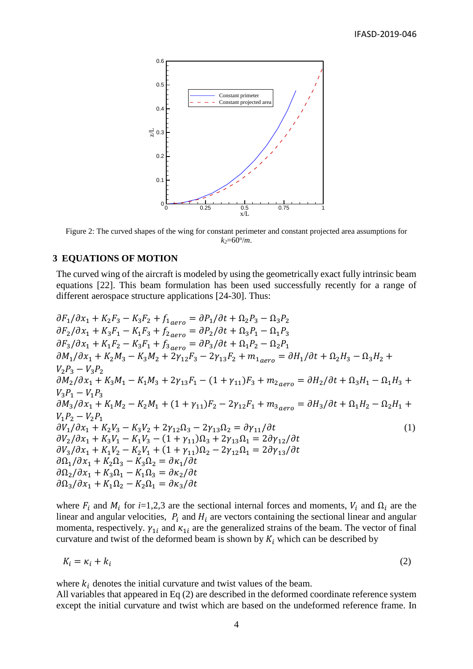

Figure 2: The curved shapes of the wing for constant perimeter and constant projected area assumptions for  $k_2$ =60 $^{\circ}/m$ .

#### **3 EQUATIONS OF MOTION**

The curved wing of the aircraft is modeled by using the geometrically exact fully intrinsic beam equations [\[22\]](#page-13-6). This beam formulation has been used successfully recently for a range of different aerospace structure applications [\[24-30\]](#page-13-8). Thus:

 $\partial F_1/\partial x_1 + K_2 F_3 - K_3 F_2 + f_{1,gen} = \partial P_1/\partial t + \Omega_2 P_3 - \Omega_3 P_2$  $\partial F_2/\partial x_1 + K_3 F_1 - K_1 F_3 + f_{2 \text{aero}} = \partial P_2/\partial t + \Omega_3 P_1 - \Omega_1 P_3$  $\partial F_3 / \partial x_1 + K_1 F_2 - K_3 F_1 + f_{3 \, aero} = \partial P_3 / \partial t + \Omega_1 P_2 - \Omega_2 P_1$  $\partial M_1/\partial x_1 + K_2 M_3 - K_3 M_2 + 2\gamma_{12} F_3 - 2\gamma_{13} F_2 + m_{1,gen} = \partial H_1/\partial t + \Omega_2 H_3 - \Omega_3 H_2 +$  $V_2 P_3 - V_3 P_2$  $\frac{\partial M_2}{\partial x_1} + K_3 M_1 - K_1 M_3 + 2\gamma_{13} F_1 - (1 + \gamma_{11}) F_3 + m_{2 \text{aero}} = \frac{\partial H_2}{\partial t} + \Omega_3 H_1 - \Omega_1 H_3 +$  $V_3 P_1 - V_1 P_3$  $\partial M_3/\partial x_1 + K_1 M_2 - K_2 M_1 + (1 + \gamma_{11})F_2 - 2\gamma_{12}F_1 + m_{3,gen} = \partial H_3/\partial t + \Omega_1 H_2 - \Omega_2 H_1 +$  $V_1 P_2 - V_2 P_1$  $\frac{\partial V_1}{\partial x_1} + K_2 V_3 - K_3 V_2 + 2\gamma_{12} \Omega_3 - 2\gamma_{13} \Omega_2 = \frac{\partial V_{11}}{\partial t}$  (1)  $\frac{\partial V_2}{\partial x_1} + K_3 V_1 - K_1 V_3 - (1 + \gamma_{11}) \Omega_3 + 2 \gamma_{13} \Omega_1 = 2 \partial \gamma_{12} / \partial t$  $\frac{\partial V_3}{\partial x_1} + K_1 V_2 - K_2 V_1 + (1 + \gamma_{11}) \Omega_2 - 2 \gamma_{12} \Omega_1 = 2 \partial \gamma_{13} / \partial t$  $\partial \Omega_1/\partial x_1 + K_2 \Omega_3 - K_3 \Omega_2 = \partial \kappa_1/\partial t$  $\partial \Omega_2 / \partial x_1 + K_3 \Omega_1 - K_1 \Omega_3 = \partial \kappa_2 / \partial t$  $\frac{\partial \Omega_3}{\partial x_1} + K_1 \Omega_2 - K_2 \Omega_1 = \frac{\partial \kappa_3}{\partial t}$ 

where  $F_i$  and  $M_i$  for *i*=1,2,3 are the sectional internal forces and moments,  $V_i$  and  $\Omega_i$  are the linear and angular velocities,  $P_i$  and  $H_i$  are vectors containing the sectional linear and angular momenta, respectively.  $\gamma_{1i}$  and  $\kappa_{1i}$  are the generalized strains of the beam. The vector of final curvature and twist of the deformed beam is shown by  $K_i$  which can be described by

$$
K_i = \kappa_i + k_i \tag{2}
$$

where  $k_i$  denotes the initial curvature and twist values of the beam.

All variables that appeared in Eq (2) are described in the deformed coordinate reference system except the initial curvature and twist which are based on the undeformed reference frame. In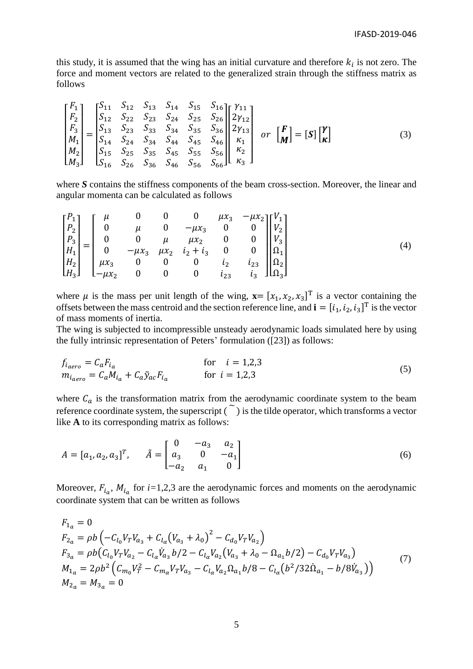this study, it is assumed that the wing has an initial curvature and therefore  $k_i$  is not zero. The force and moment vectors are related to the generalized strain through the stiffness matrix as follows

$$
\begin{bmatrix} F_1 \\ F_2 \\ F_3 \\ M_1 \\ M_2 \\ M_3 \end{bmatrix} = \begin{bmatrix} S_{11} & S_{12} & S_{13} & S_{14} & S_{15} & S_{16} \\ S_{12} & S_{22} & S_{23} & S_{24} & S_{25} & S_{26} \\ S_{13} & S_{23} & S_{33} & S_{34} & S_{35} & S_{36} \\ S_{14} & S_{24} & S_{34} & S_{44} & S_{45} & S_{46} \\ S_{15} & S_{25} & S_{35} & S_{45} & S_{55} & S_{56} \\ S_{16} & S_{26} & S_{36} & S_{46} & S_{56} & S_{66} \end{bmatrix} \begin{bmatrix} \gamma_{11} \\ \gamma_{12} \\ \gamma_{13} \\ \kappa_{1} \\ \kappa_{2} \\ \kappa_{3} \end{bmatrix} \quad or \quad \begin{bmatrix} F \\ M \end{bmatrix} = \begin{bmatrix} S \end{bmatrix} \begin{bmatrix} \gamma \\ K \end{bmatrix} \tag{3}
$$

where *S* contains the stiffness components of the beam cross-section. Moreover, the linear and angular momenta can be calculated as follows

$$
\begin{bmatrix}\nP_1 \\
P_2 \\
P_3 \\
H_1 \\
H_2 \\
H_3\n\end{bmatrix} =\n\begin{bmatrix}\n\mu & 0 & 0 & 0 & \mu x_3 & -\mu x_2 \\
0 & \mu & 0 & -\mu x_3 & 0 & 0 \\
0 & 0 & \mu & \mu x_2 & 0 & 0 \\
0 & -\mu x_3 & \mu x_2 & i_2 + i_3 & 0 & 0 \\
\mu x_3 & 0 & 0 & 0 & i_2 & i_23 \\
\mu x_3 & 0 & 0 & 0 & i_2 & i_23 \\
0 & 0 & 0 & 0 & i_2 & i_3\n\end{bmatrix}\n\begin{bmatrix}\nV_1 \\
V_2 \\
V_3 \\
V_4 \\
\Omega_1 \\
\Omega_2 \\
\Omega_2 \\
\Omega_3\n\end{bmatrix}
$$
\n(4)

where  $\mu$  is the mass per unit length of the wing,  $\mathbf{x} = [x_1, x_2, x_3]^T$  is a vector containing the offsets between the mass centroid and the section reference line, and  $\mathbf{i} = [i_1, i_2, i_3]^T$  is the vector of mass moments of inertia.

The wing is subjected to incompressible unsteady aerodynamic loads simulated here by using the fully intrinsic representation of Peters' formulation ([\[23\]](#page-13-7)) as follows:

$$
f_{i_{aero}} = C_a F_{i_a}
$$
 for  $i = 1,2,3$   
\n
$$
m_{i_{aero}} = C_a M_{i_a} + C_a \tilde{y}_{ac} F_{i_a}
$$
 for  $i = 1,2,3$  (5)

where  $C_a$  is the transformation matrix from the aerodynamic coordinate system to the beam reference coordinate system, the superscript  $\tilde{(\,\,)}$  is the tilde operator, which transforms a vector like **A** to its corresponding matrix as follows:

$$
A = [a_1, a_2, a_3]^T, \quad \tilde{A} = \begin{bmatrix} 0 & -a_3 & a_2 \\ a_3 & 0 & -a_1 \\ -a_2 & a_1 & 0 \end{bmatrix}
$$
 (6)

Moreover,  $F_{i_a}$ ,  $M_{i_a}$  for  $i=1,2,3$  are the aerodynamic forces and moments on the aerodynamic coordinate system that can be written as follows

$$
F_{1_a} = 0
$$
  
\n
$$
F_{2a} = \rho b \left( -C_{l_0} V_T V_{a_3} + C_{l_\alpha} (V_{a_3} + \lambda_0)^2 - C_{d_0} V_T V_{a_2} \right)
$$
  
\n
$$
F_{3a} = \rho b (C_{l_0} V_T V_{a_2} - C_{l_\alpha} V_{a_3} b/2 - C_{l_\alpha} V_{a_2} (V_{a_3} + \lambda_0 - \Omega_{a_1} b/2) - C_{d_0} V_T V_{a_3})
$$
  
\n
$$
M_{1_a} = 2 \rho b^2 \left( C_{m_0} V_T^2 - C_{m_\alpha} V_T V_{a_3} - C_{l_\alpha} V_{a_2} \Omega_{a_1} b/8 - C_{l_\alpha} (b^2 / 32 \dot{\Omega}_{a_1} - b/8 \dot{V}_{a_3}) \right)
$$
  
\n
$$
M_{2_a} = M_{3_a} = 0
$$
\n(7)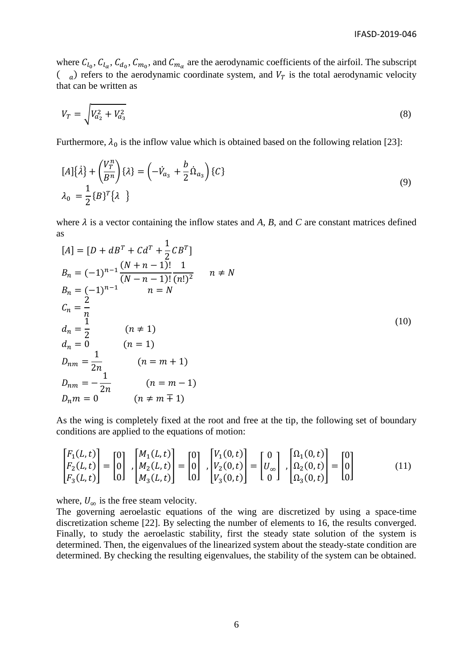where  $C_{l_0}$ ,  $C_{l_\alpha}$ ,  $C_{d_0}$ ,  $C_{m_0}$ , and  $C_{m_\alpha}$  are the aerodynamic coefficients of the airfoil. The subscript  $\begin{pmatrix} a \end{pmatrix}$  refers to the aerodynamic coordinate system, and  $V_T$  is the total aerodynamic velocity that can be written as

$$
V_T = \sqrt{V_{a_2}^2 + V_{a_3}^2} \tag{8}
$$

Furthermore,  $\lambda_0$  is the inflow value which is obtained based on the following relation [\[23\]](#page-13-7):

$$
[A]\{\lambda\} + \left(\frac{V_T^n}{B^n}\right)\{\lambda\} = \left(-\dot{V}_{a_3} + \frac{b}{2}\dot{\Omega}_{a_3}\right)\{C\}
$$
  

$$
\lambda_0 = \frac{1}{2}\{B\}^T\{\lambda\}
$$
 (9)

where  $\lambda$  is a vector containing the inflow states and  $A$ ,  $B$ , and  $C$  are constant matrices defined as 1

$$
[A] = [D + dB^{T} + Cd^{T} + \frac{1}{2}CB^{T}]
$$
  
\n
$$
B_{n} = (-1)^{n-1} \frac{(N+n-1)!}{(N-n-1)!} \frac{1}{(n!)^{2}} \quad n \neq N
$$
  
\n
$$
B_{n} = (-1)^{n-1} \quad n = N
$$
  
\n
$$
C_{n} = \frac{2}{n}
$$
  
\n
$$
d_{n} = \frac{1}{2} \quad (n \neq 1)
$$
  
\n
$$
D_{nm} = \frac{1}{2n} \quad (n = 1)
$$
  
\n
$$
D_{nm} = -\frac{1}{2n} \quad (n = m + 1)
$$
  
\n
$$
D_{nm} = 0 \quad (n \neq m \neq 1)
$$
  
\n(10)

As the wing is completely fixed at the root and free at the tip, the following set of boundary conditions are applied to the equations of motion:

$$
\begin{bmatrix} F_1(L,t) \\ F_2(L,t) \\ F_3(L,t) \end{bmatrix} = \begin{bmatrix} 0 \\ 0 \\ 0 \end{bmatrix}, \begin{bmatrix} M_1(L,t) \\ M_2(L,t) \\ M_3(L,t) \end{bmatrix} = \begin{bmatrix} 0 \\ 0 \\ 0 \end{bmatrix}, \begin{bmatrix} V_1(0,t) \\ V_2(0,t) \\ V_3(0,t) \end{bmatrix} = \begin{bmatrix} 0 \\ U_{\infty} \\ 0 \end{bmatrix}, \begin{bmatrix} \Omega_1(0,t) \\ \Omega_2(0,t) \\ \Omega_3(0,t) \end{bmatrix} = \begin{bmatrix} 0 \\ 0 \\ 0 \end{bmatrix}
$$
(11)

where,  $U_{\infty}$  is the free steam velocity.

The governing aeroelastic equations of the wing are discretized by using a space-time discretization scheme [\[22\]](#page-13-6). By selecting the number of elements to 16, the results converged. Finally, to study the aeroelastic stability, first the steady state solution of the system is determined. Then, the eigenvalues of the linearized system about the steady-state condition are determined. By checking the resulting eigenvalues, the stability of the system can be obtained.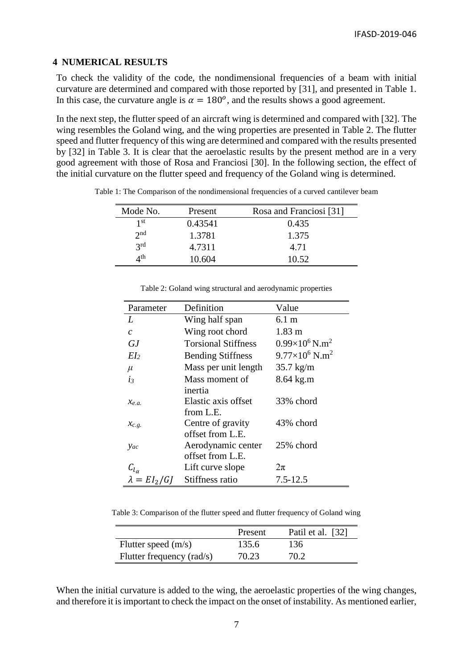### **4 NUMERICAL RESULTS**

To check the validity of the code, the nondimensional frequencies of a beam with initial curvature are determined and compared with those reported by [\[31\]](#page-13-9), and presented in [Table 1.](#page-6-0) In this case, the curvature angle is  $\alpha = 180^{\circ}$ , and the results shows a good agreement.

In the next step, the flutter speed of an aircraft wing is determined and compared with [\[32\]](#page-13-10). The wing resembles the Goland wing, and the wing properties are presented in Table 2. The flutter speed and flutter frequency of this wing are determined and compared with the results presented by [\[32\]](#page-13-10) in Table 3. It is clear that the aeroelastic results by the present method are in a very good agreement with those of Rosa and Franciosi [30]. In the following section, the effect of the initial curvature on the flutter speed and frequency of the Goland wing is determined.

| Mode No.        | Present | Rosa and Franciosi <sup>[31]</sup> |
|-----------------|---------|------------------------------------|
| 1 st            | 0.43541 | 0.435                              |
| 2 <sub>nd</sub> | 1.3781  | 1.375                              |
| 2rd             | 4.7311  | 4.71                               |
| ∕∕th            | 10.604  | 10.52                              |

<span id="page-6-0"></span>Table 1: The Comparison of the nondimensional frequencies of a curved cantilever beam

| Parameter           | Definition                 | Value                             |
|---------------------|----------------------------|-----------------------------------|
| L                   | Wing half span             | 6.1 m                             |
| $\mathcal{C}$       | Wing root chord            | $1.83 \text{ m}$                  |
| GJ.                 | <b>Torsional Stiffness</b> | $0.99\times10^6$ N.m <sup>2</sup> |
| EI <sub>2</sub>     | <b>Bending Stiffness</b>   | $9.77\times10^6$ N.m <sup>2</sup> |
| $\mu$               | Mass per unit length       | $35.7 \text{ kg/m}$               |
| $i_3$               | Mass moment of             | 8.64 kg.m                         |
|                     | inertia                    |                                   |
| $\chi_{e.a.}$       | Elastic axis offset        | 33% chord                         |
|                     | from L.E.                  |                                   |
| $\chi_{c.g.}$       | Centre of gravity          | 43% chord                         |
|                     | offset from L.E.           |                                   |
| yac                 | Aerodynamic center         | 25% chord                         |
|                     | offset from L.E.           |                                   |
| $c_{l_{\alpha}}$    | Lift curve slope           | $2\pi$                            |
| $\lambda = EI_2/GI$ | Stiffness ratio            | $7.5 - 12.5$                      |

Table 2: Goland wing structural and aerodynamic properties

Table 3: Comparison of the flutter speed and flutter frequency of Goland wing

|                           | Present | Patil et al. [32] |
|---------------------------|---------|-------------------|
| Flutter speed $(m/s)$     | 135.6   | 136               |
| Flutter frequency (rad/s) | 70.23   | 70.2              |

When the initial curvature is added to the wing, the aeroelastic properties of the wing changes, and therefore it is important to check the impact on the onset of instability. As mentioned earlier,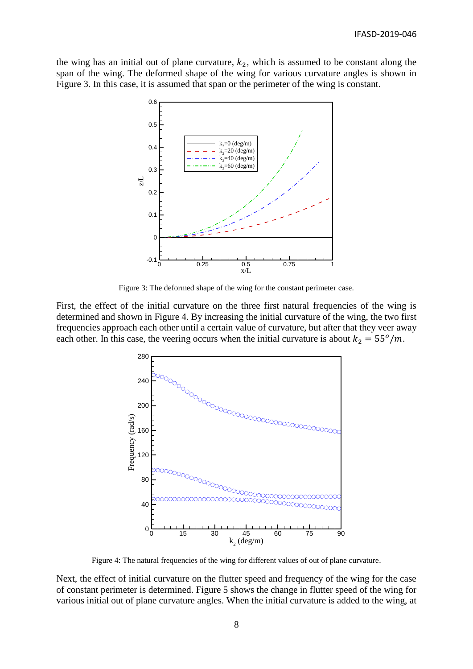the wing has an initial out of plane curvature,  $k_2$ , which is assumed to be constant along the span of the wing. The deformed shape of the wing for various curvature angles is shown in Figure 3. In this case, it is assumed that span or the perimeter of the wing is constant.



Figure 3: The deformed shape of the wing for the constant perimeter case.

First, the effect of the initial curvature on the three first natural frequencies of the wing is determined and shown in Figure 4. By increasing the initial curvature of the wing, the two first frequencies approach each other until a certain value of curvature, but after that they veer away each other. In this case, the veering occurs when the initial curvature is about  $k_2 = 55^{\circ}/m$ .



Figure 4: The natural frequencies of the wing for different values of out of plane curvature.

Next, the effect of initial curvature on the flutter speed and frequency of the wing for the case of constant perimeter is determined. Figure 5 shows the change in flutter speed of the wing for various initial out of plane curvature angles. When the initial curvature is added to the wing, at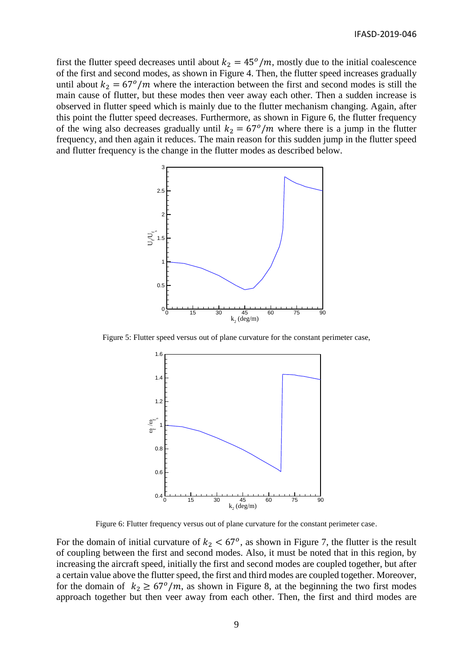first the flutter speed decreases until about  $k_2 = 45^{\circ}/m$ , mostly due to the initial coalescence of the first and second modes, as shown in Figure 4. Then, the flutter speed increases gradually until about  $k_2 = 67^\circ/m$  where the interaction between the first and second modes is still the main cause of flutter, but these modes then veer away each other. Then a sudden increase is observed in flutter speed which is mainly due to the flutter mechanism changing. Again, after this point the flutter speed decreases. Furthermore, as shown in Figure 6, the flutter frequency of the wing also decreases gradually until  $k_2 = 67^\circ/m$  where there is a jump in the flutter frequency, and then again it reduces. The main reason for this sudden jump in the flutter speed and flutter frequency is the change in the flutter modes as described below.



Figure 5: Flutter speed versus out of plane curvature for the constant perimeter case,



Figure 6: Flutter frequency versus out of plane curvature for the constant perimeter case.

For the domain of initial curvature of  $k_2 < 67^{\circ}$ , as shown in Figure 7, the flutter is the result of coupling between the first and second modes. Also, it must be noted that in this region, by increasing the aircraft speed, initially the first and second modes are coupled together, but after a certain value above the flutter speed, the first and third modes are coupled together. Moreover, for the domain of  $k_2 \ge 67^\circ/m$ , as shown in Figure 8, at the beginning the two first modes approach together but then veer away from each other. Then, the first and third modes are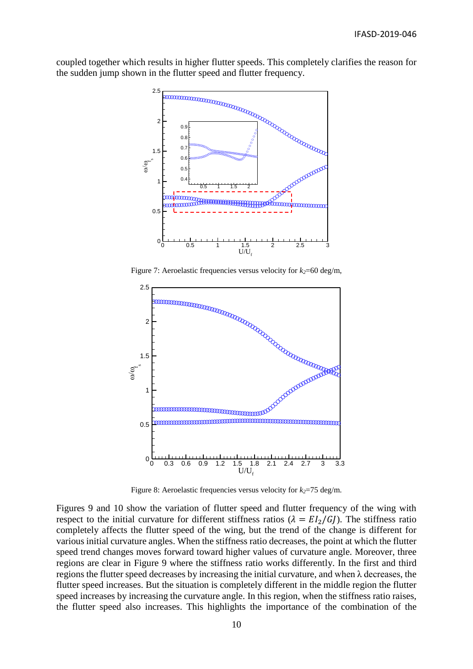coupled together which results in higher flutter speeds. This completely clarifies the reason for the sudden jump shown in the flutter speed and flutter frequency.





Figure 8: Aeroelastic frequencies versus velocity for  $k_2$ =75 deg/m.

Figures 9 and 10 show the variation of flutter speed and flutter frequency of the wing with respect to the initial curvature for different stiffness ratios ( $\lambda = EI_2/GJ$ ). The stiffness ratio completely affects the flutter speed of the wing, but the trend of the change is different for various initial curvature angles. When the stiffness ratio decreases, the point at which the flutter speed trend changes moves forward toward higher values of curvature angle. Moreover, three regions are clear in Figure 9 where the stiffness ratio works differently. In the first and third regions the flutter speed decreases by increasing the initial curvature, and when λ decreases, the flutter speed increases. But the situation is completely different in the middle region the flutter speed increases by increasing the curvature angle. In this region, when the stiffness ratio raises, the flutter speed also increases. This highlights the importance of the combination of the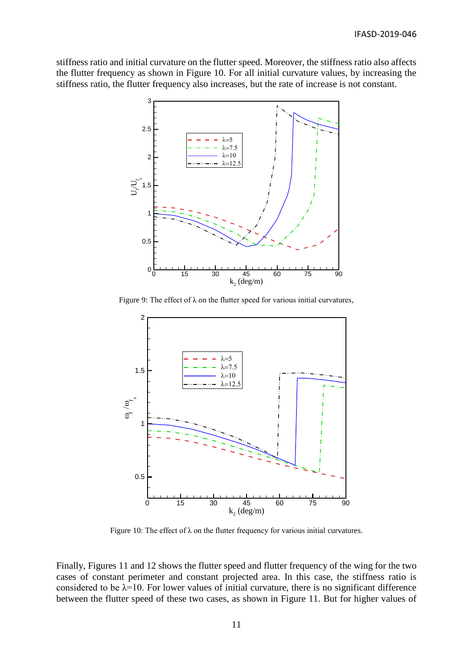stiffness ratio and initial curvature on the flutter speed. Moreover, the stiffness ratio also affects the flutter frequency as shown in Figure 10. For all initial curvature values, by increasing the stiffness ratio, the flutter frequency also increases, but the rate of increase is not constant.



Figure 9: The effect of  $\lambda$  on the flutter speed for various initial curvatures,



Figure 10: The effect of  $\lambda$  on the flutter frequency for various initial curvatures.

Finally, Figures 11 and 12 shows the flutter speed and flutter frequency of the wing for the two cases of constant perimeter and constant projected area. In this case, the stiffness ratio is considered to be  $\lambda$ =10. For lower values of initial curvature, there is no significant difference between the flutter speed of these two cases, as shown in Figure 11. But for higher values of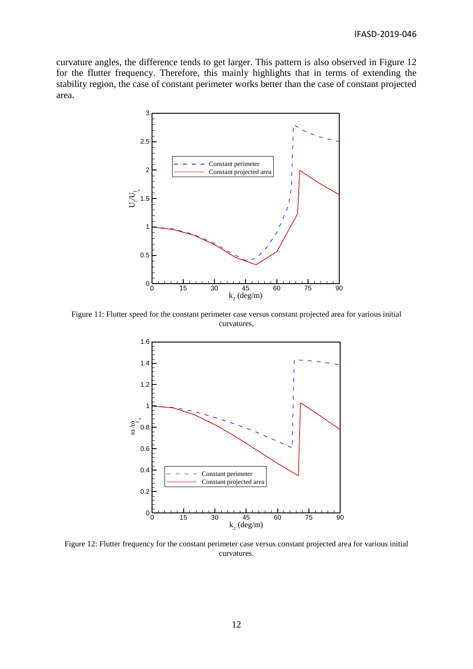curvature angles, the difference tends to get larger. This pattern is also observed in Figure 12 for the flutter frequency. Therefore, this mainly highlights that in terms of extending the stability region, the case of constant perimeter works better than the case of constant projected area.



Figure 11: Flutter speed for the constant perimeter case versus constant projected area for various initial curvatures,



Figure 12: Flutter frequency for the constant perimeter case versus constant projected area for various initial curvatures.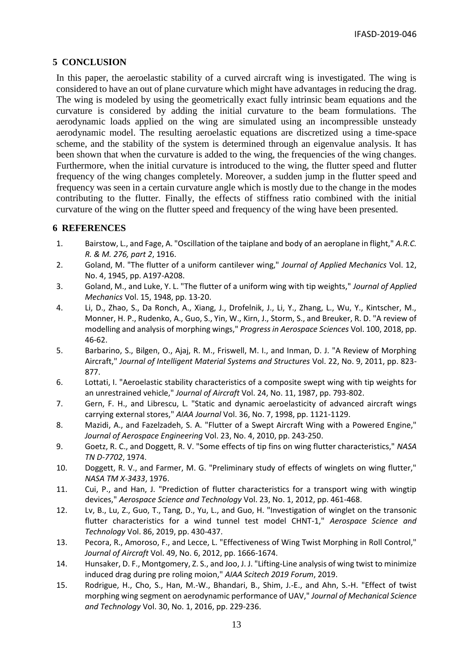## **5 CONCLUSION**

In this paper, the aeroelastic stability of a curved aircraft wing is investigated. The wing is considered to have an out of plane curvature which might have advantages in reducing the drag. The wing is modeled by using the geometrically exact fully intrinsic beam equations and the curvature is considered by adding the initial curvature to the beam formulations. The aerodynamic loads applied on the wing are simulated using an incompressible unsteady aerodynamic model. The resulting aeroelastic equations are discretized using a time-space scheme, and the stability of the system is determined through an eigenvalue analysis. It has been shown that when the curvature is added to the wing, the frequencies of the wing changes. Furthermore, when the initial curvature is introduced to the wing, the flutter speed and flutter frequency of the wing changes completely. Moreover, a sudden jump in the flutter speed and frequency was seen in a certain curvature angle which is mostly due to the change in the modes contributing to the flutter. Finally, the effects of stiffness ratio combined with the initial curvature of the wing on the flutter speed and frequency of the wing have been presented.

### **6 REFERENCES**

- <span id="page-12-0"></span>1. Bairstow, L., and Fage, A. "Oscillation of the taiplane and body of an aeroplane in flight," *A.R.C. R. & M. 276, part 2*, 1916.
- <span id="page-12-1"></span>2. Goland, M. "The flutter of a uniform cantilever wing," *Journal of Applied Mechanics* Vol. 12, No. 4, 1945, pp. A197-A208.
- <span id="page-12-2"></span>3. Goland, M., and Luke, Y. L. "The flutter of a uniform wing with tip weights," *Journal of Applied Mechanics* Vol. 15, 1948, pp. 13-20.
- <span id="page-12-3"></span>4. Li, D., Zhao, S., Da Ronch, A., Xiang, J., Drofelnik, J., Li, Y., Zhang, L., Wu, Y., Kintscher, M., Monner, H. P., Rudenko, A., Guo, S., Yin, W., Kirn, J., Storm, S., and Breuker, R. D. "A review of modelling and analysis of morphing wings," *Progress in Aerospace Sciences* Vol. 100, 2018, pp. 46-62.
- <span id="page-12-4"></span>5. Barbarino, S., Bilgen, O., Ajaj, R. M., Friswell, M. I., and Inman, D. J. "A Review of Morphing Aircraft," *Journal of Intelligent Material Systems and Structures* Vol. 22, No. 9, 2011, pp. 823- 877.
- <span id="page-12-5"></span>6. Lottati, I. "Aeroelastic stability characteristics of a composite swept wing with tip weights for an unrestrained vehicle," *Journal of Aircraft* Vol. 24, No. 11, 1987, pp. 793-802.
- <span id="page-12-6"></span>7. Gern, F. H., and Librescu, L. "Static and dynamic aeroelasticity of advanced aircraft wings carrying external stores," *AIAA Journal* Vol. 36, No. 7, 1998, pp. 1121-1129.
- <span id="page-12-7"></span>8. Mazidi, A., and Fazelzadeh, S. A. "Flutter of a Swept Aircraft Wing with a Powered Engine," *Journal of Aerospace Engineering* Vol. 23, No. 4, 2010, pp. 243-250.
- <span id="page-12-8"></span>9. Goetz, R. C., and Doggett, R. V. "Some effects of tip fins on wing flutter characteristics," *NASA TN D-7702*, 1974.
- <span id="page-12-9"></span>10. Doggett, R. V., and Farmer, M. G. "Preliminary study of effects of winglets on wing flutter," *NASA TM X-3433*, 1976.
- <span id="page-12-10"></span>11. Cui, P., and Han, J. "Prediction of flutter characteristics for a transport wing with wingtip devices," *Aerospace Science and Technology* Vol. 23, No. 1, 2012, pp. 461-468.
- <span id="page-12-11"></span>12. Lv, B., Lu, Z., Guo, T., Tang, D., Yu, L., and Guo, H. "Investigation of winglet on the transonic flutter characteristics for a wind tunnel test model CHNT-1," *Aerospace Science and Technology* Vol. 86, 2019, pp. 430-437.
- <span id="page-12-12"></span>13. Pecora, R., Amoroso, F., and Lecce, L. "Effectiveness of Wing Twist Morphing in Roll Control," *Journal of Aircraft* Vol. 49, No. 6, 2012, pp. 1666-1674.
- <span id="page-12-13"></span>14. Hunsaker, D. F., Montgomery, Z. S., and Joo, J. J. "Lifting-Line analysis of wing twist to minimize induced drag during pre roling moion," *AIAA Scitech 2019 Forum*, 2019.
- <span id="page-12-14"></span>15. Rodrigue, H., Cho, S., Han, M.-W., Bhandari, B., Shim, J.-E., and Ahn, S.-H. "Effect of twist morphing wing segment on aerodynamic performance of UAV," *Journal of Mechanical Science and Technology* Vol. 30, No. 1, 2016, pp. 229-236.